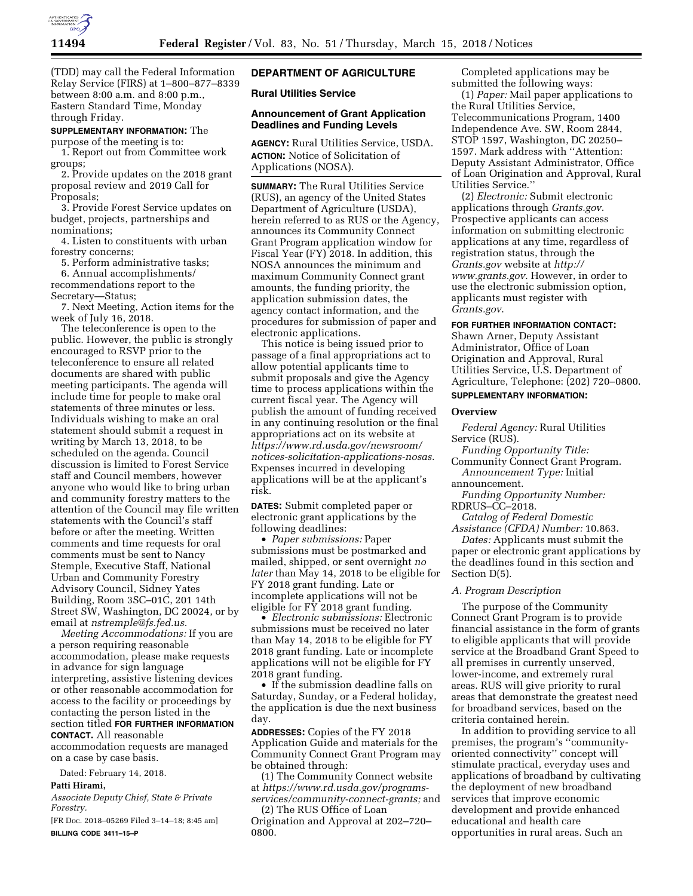

(TDD) may call the Federal Information Relay Service (FIRS) at 1–800–877–8339 between 8:00 a.m. and 8:00 p.m., Eastern Standard Time, Monday through Friday.

## **SUPPLEMENTARY INFORMATION:** The

purpose of the meeting is to: 1. Report out from Committee work groups;

2. Provide updates on the 2018 grant proposal review and 2019 Call for Proposals;

3. Provide Forest Service updates on budget, projects, partnerships and nominations;

4. Listen to constituents with urban forestry concerns;

5. Perform administrative tasks;

6. Annual accomplishments/ recommendations report to the

Secretary—Status;

7. Next Meeting, Action items for the week of July 16, 2018.

The teleconference is open to the public. However, the public is strongly encouraged to RSVP prior to the teleconference to ensure all related documents are shared with public meeting participants. The agenda will include time for people to make oral statements of three minutes or less. Individuals wishing to make an oral statement should submit a request in writing by March 13, 2018, to be scheduled on the agenda. Council discussion is limited to Forest Service staff and Council members, however anyone who would like to bring urban and community forestry matters to the attention of the Council may file written statements with the Council's staff before or after the meeting. Written comments and time requests for oral comments must be sent to Nancy Stemple, Executive Staff, National Urban and Community Forestry Advisory Council, Sidney Yates Building, Room 3SC–01C, 201 14th Street SW, Washington, DC 20024, or by email at *[nstremple@fs.fed.us.](mailto:nstremple@fs.fed.us)* 

*Meeting Accommodations:* If you are a person requiring reasonable accommodation, please make requests in advance for sign language interpreting, assistive listening devices or other reasonable accommodation for access to the facility or proceedings by contacting the person listed in the section titled **FOR FURTHER INFORMATION**

**CONTACT.** All reasonable accommodation requests are managed

on a case by case basis.

Dated: February 14, 2018.

# **Patti Hirami,**

*Associate Deputy Chief, State & Private Forestry.* 

[FR Doc. 2018–05269 Filed 3–14–18; 8:45 am] **BILLING CODE 3411–15–P** 

# **DEPARTMENT OF AGRICULTURE**

# **Rural Utilities Service**

## **Announcement of Grant Application Deadlines and Funding Levels**

**AGENCY:** Rural Utilities Service, USDA. **ACTION:** Notice of Solicitation of Applications (NOSA).

**SUMMARY:** The Rural Utilities Service (RUS), an agency of the United States Department of Agriculture (USDA), herein referred to as RUS or the Agency, announces its Community Connect Grant Program application window for Fiscal Year (FY) 2018. In addition, this NOSA announces the minimum and maximum Community Connect grant amounts, the funding priority, the application submission dates, the agency contact information, and the procedures for submission of paper and electronic applications.

This notice is being issued prior to passage of a final appropriations act to allow potential applicants time to submit proposals and give the Agency time to process applications within the current fiscal year. The Agency will publish the amount of funding received in any continuing resolution or the final appropriations act on its website at *[https://www.rd.usda.gov/newsroom/](https://www.rd.usda.gov/newsroom/notices-solicitation-applications-nosas) [notices-solicitation-applications-nosas.](https://www.rd.usda.gov/newsroom/notices-solicitation-applications-nosas)*  Expenses incurred in developing applications will be at the applicant's risk.

**DATES:** Submit completed paper or electronic grant applications by the following deadlines:

• *Paper submissions:* Paper submissions must be postmarked and mailed, shipped, or sent overnight *no later* than May 14, 2018 to be eligible for FY 2018 grant funding. Late or incomplete applications will not be eligible for  $\overline{YY}$  2018 grant funding.

• *Electronic submissions:* Electronic submissions must be received no later than May 14, 2018 to be eligible for FY 2018 grant funding. Late or incomplete applications will not be eligible for FY 2018 grant funding.

• If the submission deadline falls on Saturday, Sunday, or a Federal holiday, the application is due the next business day.

**ADDRESSES:** Copies of the FY 2018 Application Guide and materials for the Community Connect Grant Program may be obtained through:

(1) The Community Connect website at *[https://www.rd.usda.gov/programs](https://www.rd.usda.gov/programs-services/community-connect-grants)[services/community-connect-grants;](https://www.rd.usda.gov/programs-services/community-connect-grants)* and

(2) The RUS Office of Loan Origination and Approval at 202–720– 0800.

Completed applications may be submitted the following ways:

(1) *Paper:* Mail paper applications to the Rural Utilities Service, Telecommunications Program, 1400 Independence Ave. SW, Room 2844, STOP 1597, Washington, DC 20250– 1597. Mark address with ''Attention: Deputy Assistant Administrator, Office of Loan Origination and Approval, Rural Utilities Service.''

(2) *Electronic:* Submit electronic applications through *Grants.gov*. Prospective applicants can access information on submitting electronic applications at any time, regardless of registration status, through the *Grants.gov* website at *[http://](http://www.grants.gov) [www.grants.gov.](http://www.grants.gov)* However, in order to use the electronic submission option, applicants must register with *Grants.gov*.

## **FOR FURTHER INFORMATION CONTACT:**

Shawn Arner, Deputy Assistant Administrator, Office of Loan Origination and Approval, Rural Utilities Service, U.S. Department of Agriculture, Telephone: (202) 720–0800.

# **SUPPLEMENTARY INFORMATION:**

# **Overview**

*Federal Agency:* Rural Utilities Service (RUS).

*Funding Opportunity Title:* 

Community Connect Grant Program. *Announcement Type:* Initial

announcement.

*Funding Opportunity Number:*  RDRUS–CC–2018.

*Catalog of Federal Domestic Assistance (CFDA) Number:* 10.863.

*Dates:* Applicants must submit the paper or electronic grant applications by the deadlines found in this section and Section D(5).

## *A. Program Description*

The purpose of the Community Connect Grant Program is to provide financial assistance in the form of grants to eligible applicants that will provide service at the Broadband Grant Speed to all premises in currently unserved, lower-income, and extremely rural areas. RUS will give priority to rural areas that demonstrate the greatest need for broadband services, based on the criteria contained herein.

In addition to providing service to all premises, the program's ''communityoriented connectivity'' concept will stimulate practical, everyday uses and applications of broadband by cultivating the deployment of new broadband services that improve economic development and provide enhanced educational and health care opportunities in rural areas. Such an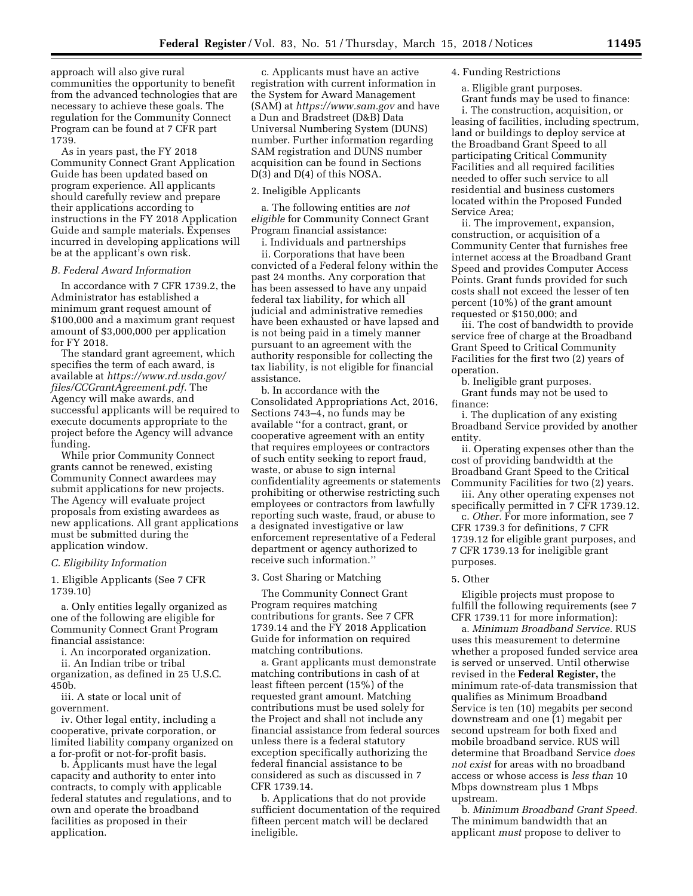approach will also give rural communities the opportunity to benefit from the advanced technologies that are necessary to achieve these goals. The regulation for the Community Connect Program can be found at 7 CFR part 1739.

As in years past, the FY 2018 Community Connect Grant Application Guide has been updated based on program experience. All applicants should carefully review and prepare their applications according to instructions in the FY 2018 Application Guide and sample materials. Expenses incurred in developing applications will be at the applicant's own risk.

#### *B. Federal Award Information*

In accordance with 7 CFR 1739.2, the Administrator has established a minimum grant request amount of \$100,000 and a maximum grant request amount of \$3,000,000 per application for FY 2018.

The standard grant agreement, which specifies the term of each award, is available at *[https://www.rd.usda.gov/](https://www.rd.usda.gov/files/CCGrantAgreement.pdf)  [files/CCGrantAgreement.pdf.](https://www.rd.usda.gov/files/CCGrantAgreement.pdf)* The Agency will make awards, and successful applicants will be required to execute documents appropriate to the project before the Agency will advance funding.

While prior Community Connect grants cannot be renewed, existing Community Connect awardees may submit applications for new projects. The Agency will evaluate project proposals from existing awardees as new applications. All grant applications must be submitted during the application window.

#### *C. Eligibility Information*

1. Eligible Applicants (See 7 CFR 1739.10)

a. Only entities legally organized as one of the following are eligible for Community Connect Grant Program financial assistance:

i. An incorporated organization.

ii. An Indian tribe or tribal organization, as defined in 25 U.S.C.

450b. iii. A state or local unit of government.

iv. Other legal entity, including a cooperative, private corporation, or limited liability company organized on a for-profit or not-for-profit basis.

b. Applicants must have the legal capacity and authority to enter into contracts, to comply with applicable federal statutes and regulations, and to own and operate the broadband facilities as proposed in their application.

c. Applicants must have an active registration with current information in the System for Award Management (SAM) at *<https://www.sam.gov>*and have a Dun and Bradstreet (D&B) Data Universal Numbering System (DUNS) number. Further information regarding SAM registration and DUNS number acquisition can be found in Sections D(3) and D(4) of this NOSA.

# 2. Ineligible Applicants

a. The following entities are *not eligible* for Community Connect Grant Program financial assistance:

i. Individuals and partnerships ii. Corporations that have been convicted of a Federal felony within the past 24 months. Any corporation that has been assessed to have any unpaid federal tax liability, for which all judicial and administrative remedies have been exhausted or have lapsed and is not being paid in a timely manner pursuant to an agreement with the authority responsible for collecting the tax liability, is not eligible for financial assistance.

b. In accordance with the Consolidated Appropriations Act, 2016, Sections 743–4, no funds may be available ''for a contract, grant, or cooperative agreement with an entity that requires employees or contractors of such entity seeking to report fraud, waste, or abuse to sign internal confidentiality agreements or statements prohibiting or otherwise restricting such employees or contractors from lawfully reporting such waste, fraud, or abuse to a designated investigative or law enforcement representative of a Federal department or agency authorized to receive such information.''

3. Cost Sharing or Matching

The Community Connect Grant Program requires matching contributions for grants. See 7 CFR 1739.14 and the FY 2018 Application Guide for information on required matching contributions.

a. Grant applicants must demonstrate matching contributions in cash of at least fifteen percent (15%) of the requested grant amount. Matching contributions must be used solely for the Project and shall not include any financial assistance from federal sources unless there is a federal statutory exception specifically authorizing the federal financial assistance to be considered as such as discussed in 7 CFR 1739.14.

b. Applications that do not provide sufficient documentation of the required fifteen percent match will be declared ineligible.

#### 4. Funding Restrictions

a. Eligible grant purposes. Grant funds may be used to finance:

i. The construction, acquisition, or leasing of facilities, including spectrum, land or buildings to deploy service at the Broadband Grant Speed to all participating Critical Community Facilities and all required facilities needed to offer such service to all residential and business customers located within the Proposed Funded Service Area;

ii. The improvement, expansion, construction, or acquisition of a Community Center that furnishes free internet access at the Broadband Grant Speed and provides Computer Access Points. Grant funds provided for such costs shall not exceed the lesser of ten percent (10%) of the grant amount requested or \$150,000; and

iii. The cost of bandwidth to provide service free of charge at the Broadband Grant Speed to Critical Community Facilities for the first two (2) years of operation.

b. Ineligible grant purposes. Grant funds may not be used to finance:

i. The duplication of any existing Broadband Service provided by another entity.

ii. Operating expenses other than the cost of providing bandwidth at the Broadband Grant Speed to the Critical Community Facilities for two (2) years.

iii. Any other operating expenses not specifically permitted in 7 CFR 1739.12.

c. *Other.* For more information, see 7 CFR 1739.3 for definitions, 7 CFR 1739.12 for eligible grant purposes, and 7 CFR 1739.13 for ineligible grant purposes.

## 5. Other

Eligible projects must propose to fulfill the following requirements (see 7 CFR 1739.11 for more information):

a. *Minimum Broadband Service.* RUS uses this measurement to determine whether a proposed funded service area is served or unserved. Until otherwise revised in the **Federal Register,** the minimum rate-of-data transmission that qualifies as Minimum Broadband Service is ten (10) megabits per second downstream and one (1) megabit per second upstream for both fixed and mobile broadband service. RUS will determine that Broadband Service *does not exist* for areas with no broadband access or whose access is *less than* 10 Mbps downstream plus 1 Mbps upstream.

b. *Minimum Broadband Grant Speed.*  The minimum bandwidth that an applicant *must* propose to deliver to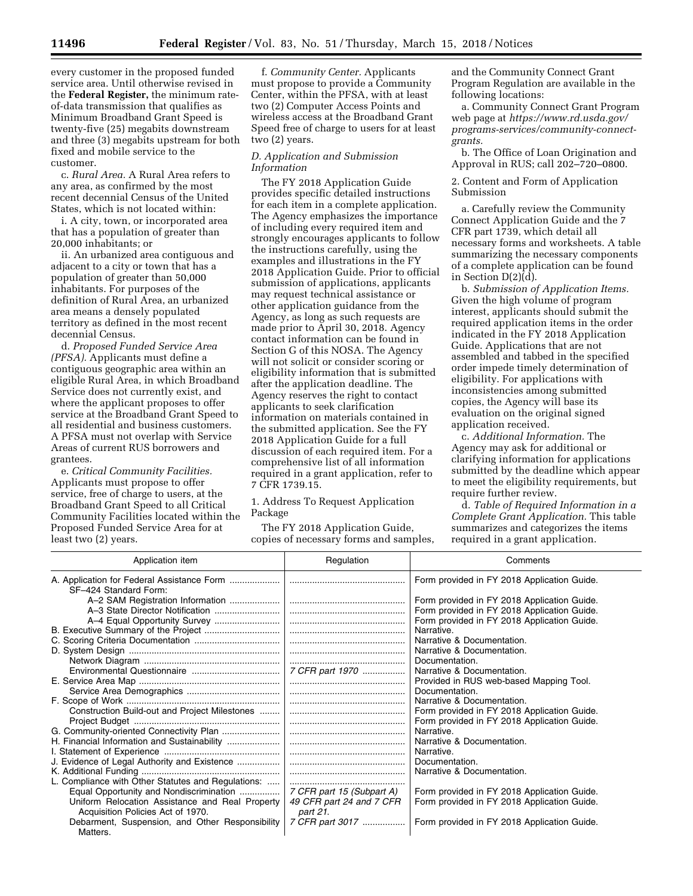every customer in the proposed funded service area. Until otherwise revised in the **Federal Register,** the minimum rateof-data transmission that qualifies as Minimum Broadband Grant Speed is twenty-five (25) megabits downstream and three (3) megabits upstream for both fixed and mobile service to the customer.

c. *Rural Area.* A Rural Area refers to any area, as confirmed by the most recent decennial Census of the United States, which is not located within:

i. A city, town, or incorporated area that has a population of greater than 20,000 inhabitants; or

ii. An urbanized area contiguous and adjacent to a city or town that has a population of greater than 50,000 inhabitants. For purposes of the definition of Rural Area, an urbanized area means a densely populated territory as defined in the most recent decennial Census.

d. *Proposed Funded Service Area (PFSA).* Applicants must define a contiguous geographic area within an eligible Rural Area, in which Broadband Service does not currently exist, and where the applicant proposes to offer service at the Broadband Grant Speed to all residential and business customers. A PFSA must not overlap with Service Areas of current RUS borrowers and grantees.

e. *Critical Community Facilities.*  Applicants must propose to offer service, free of charge to users, at the Broadband Grant Speed to all Critical Community Facilities located within the Proposed Funded Service Area for at least two (2) years.

f. *Community Center.* Applicants must propose to provide a Community Center, within the PFSA, with at least two (2) Computer Access Points and wireless access at the Broadband Grant Speed free of charge to users for at least two (2) years.

# *D. Application and Submission Information*

The FY 2018 Application Guide provides specific detailed instructions for each item in a complete application. The Agency emphasizes the importance of including every required item and strongly encourages applicants to follow the instructions carefully, using the examples and illustrations in the FY 2018 Application Guide. Prior to official submission of applications, applicants may request technical assistance or other application guidance from the Agency, as long as such requests are made prior to April 30, 2018. Agency contact information can be found in Section G of this NOSA. The Agency will not solicit or consider scoring or eligibility information that is submitted after the application deadline. The Agency reserves the right to contact applicants to seek clarification information on materials contained in the submitted application. See the FY 2018 Application Guide for a full discussion of each required item. For a comprehensive list of all information required in a grant application, refer to 7 CFR 1739.15.

1. Address To Request Application Package

The FY 2018 Application Guide, copies of necessary forms and samples, and the Community Connect Grant Program Regulation are available in the following locations:

a. Community Connect Grant Program web page at *[https://www.rd.usda.gov/](https://www.rd.usda.gov/programs-services/community-connect-grants)  [programs-services/community-connect](https://www.rd.usda.gov/programs-services/community-connect-grants)[grants.](https://www.rd.usda.gov/programs-services/community-connect-grants)* 

b. The Office of Loan Origination and Approval in RUS; call 202–720–0800.

2. Content and Form of Application Submission

a. Carefully review the Community Connect Application Guide and the 7 CFR part 1739, which detail all necessary forms and worksheets. A table summarizing the necessary components of a complete application can be found in Section D(2)(d).

b. *Submission of Application Items.*  Given the high volume of program interest, applicants should submit the required application items in the order indicated in the FY 2018 Application Guide. Applications that are not assembled and tabbed in the specified order impede timely determination of eligibility. For applications with inconsistencies among submitted copies, the Agency will base its evaluation on the original signed application received.

c. *Additional Information.* The Agency may ask for additional or clarifying information for applications submitted by the deadline which appear to meet the eligibility requirements, but require further review.

d. *Table of Required Information in a Complete Grant Application.* This table summarizes and categorizes the items required in a grant application.

| Application item                                                    | Regulation                | Comments                                    |
|---------------------------------------------------------------------|---------------------------|---------------------------------------------|
| A. Application for Federal Assistance Form<br>SF-424 Standard Form: |                           | Form provided in FY 2018 Application Guide. |
| A-2 SAM Registration Information                                    |                           | Form provided in FY 2018 Application Guide. |
|                                                                     |                           | Form provided in FY 2018 Application Guide. |
|                                                                     |                           | Form provided in FY 2018 Application Guide. |
| B. Executive Summary of the Project                                 |                           | Narrative.                                  |
|                                                                     |                           | Narrative & Documentation.                  |
|                                                                     |                           | Narrative & Documentation.                  |
|                                                                     |                           | Documentation.                              |
|                                                                     | 7 CFR part 1970           | Narrative & Documentation.                  |
|                                                                     |                           | Provided in RUS web-based Mapping Tool.     |
|                                                                     |                           | Documentation.                              |
|                                                                     |                           | Narrative & Documentation.                  |
| Construction Build-out and Project Milestones                       |                           | Form provided in FY 2018 Application Guide. |
|                                                                     |                           | Form provided in FY 2018 Application Guide. |
|                                                                     |                           | Narrative.                                  |
| H. Financial Information and Sustainability                         |                           | Narrative & Documentation.                  |
|                                                                     |                           | Narrative.                                  |
| J. Evidence of Legal Authority and Existence                        |                           | Documentation.                              |
|                                                                     |                           | Narrative & Documentation.                  |
| L. Compliance with Other Statutes and Regulations:                  |                           |                                             |
| Equal Opportunity and Nondiscrimination                             | 7 CFR part 15 (Subpart A) | Form provided in FY 2018 Application Guide. |
| Uniform Relocation Assistance and Real Property                     | 49 CFR part 24 and 7 CFR  | Form provided in FY 2018 Application Guide. |
| Acquisition Policies Act of 1970.                                   | part 21.                  |                                             |
| Debarment, Suspension, and Other Responsibility                     | 7 CFR part 3017           | Form provided in FY 2018 Application Guide. |
| Matters.                                                            |                           |                                             |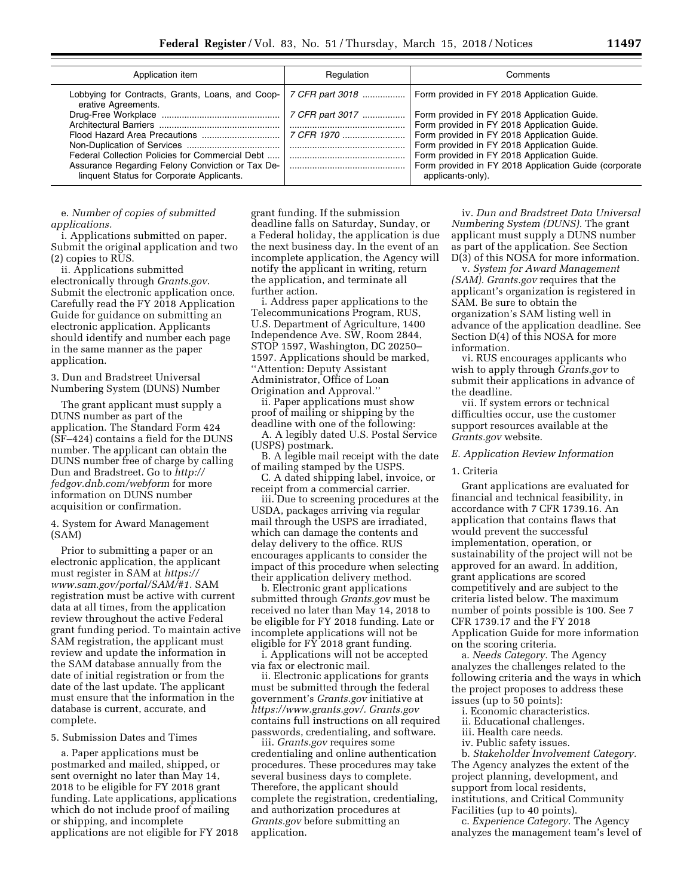| Application item                                                                              | Regulation      | Comments                                                                                                                                                                                                                                |
|-----------------------------------------------------------------------------------------------|-----------------|-----------------------------------------------------------------------------------------------------------------------------------------------------------------------------------------------------------------------------------------|
| Lobbying for Contracts, Grants, Loans, and Coop-<br>erative Agreements.                       | 7 CFR part 3018 | Form provided in FY 2018 Application Guide.                                                                                                                                                                                             |
|                                                                                               | 7 CFR part 3017 | Form provided in FY 2018 Application Guide.<br>Form provided in FY 2018 Application Guide.<br>Form provided in FY 2018 Application Guide.<br>Form provided in FY 2018 Application Guide.<br>Form provided in FY 2018 Application Guide. |
|                                                                                               | 7 CFR 1970      |                                                                                                                                                                                                                                         |
| Federal Collection Policies for Commercial Debt                                               |                 |                                                                                                                                                                                                                                         |
| Assurance Regarding Felony Conviction or Tax De-<br>linquent Status for Corporate Applicants. |                 | Form provided in FY 2018 Application Guide (corporate<br>applicants-only).                                                                                                                                                              |

#### e. *Number of copies of submitted applications.*

i. Applications submitted on paper. Submit the original application and two (2) copies to RUS.

ii. Applications submitted electronically through *Grants.gov*. Submit the electronic application once. Carefully read the FY 2018 Application Guide for guidance on submitting an electronic application. Applicants should identify and number each page in the same manner as the paper application.

3. Dun and Bradstreet Universal Numbering System (DUNS) Number

The grant applicant must supply a DUNS number as part of the application. The Standard Form 424 (SF–424) contains a field for the DUNS number. The applicant can obtain the DUNS number free of charge by calling Dun and Bradstreet. Go to *[http://](http://fedgov.dnb.com/webform) [fedgov.dnb.com/webform](http://fedgov.dnb.com/webform)* for more information on DUNS number acquisition or confirmation.

4. System for Award Management (SAM)

Prior to submitting a paper or an electronic application, the applicant must register in SAM at *[https://](https://www.sam.gov/portal/SAM/#1) [www.sam.gov/portal/SAM/#1.](https://www.sam.gov/portal/SAM/#1)* SAM registration must be active with current data at all times, from the application review throughout the active Federal grant funding period. To maintain active SAM registration, the applicant must review and update the information in the SAM database annually from the date of initial registration or from the date of the last update. The applicant must ensure that the information in the database is current, accurate, and complete.

## 5. Submission Dates and Times

a. Paper applications must be postmarked and mailed, shipped, or sent overnight no later than May 14, 2018 to be eligible for FY 2018 grant funding. Late applications, applications which do not include proof of mailing or shipping, and incomplete applications are not eligible for FY 2018

grant funding. If the submission deadline falls on Saturday, Sunday, or a Federal holiday, the application is due the next business day. In the event of an incomplete application, the Agency will notify the applicant in writing, return the application, and terminate all further action.

i. Address paper applications to the Telecommunications Program, RUS, U.S. Department of Agriculture, 1400 Independence Ave. SW, Room 2844, STOP 1597, Washington, DC 20250– 1597. Applications should be marked, ''Attention: Deputy Assistant Administrator, Office of Loan Origination and Approval.'' ii. Paper applications must show

proof of mailing or shipping by the deadline with one of the following:

A. A legibly dated U.S. Postal Service (USPS) postmark.

B. A legible mail receipt with the date of mailing stamped by the USPS.

C. A dated shipping label, invoice, or receipt from a commercial carrier.

iii. Due to screening procedures at the USDA, packages arriving via regular mail through the USPS are irradiated, which can damage the contents and delay delivery to the office. RUS encourages applicants to consider the impact of this procedure when selecting their application delivery method.

b. Electronic grant applications submitted through *Grants.gov* must be received no later than May 14, 2018 to be eligible for FY 2018 funding. Late or incomplete applications will not be eligible for FY 2018 grant funding.

i. Applications will not be accepted via fax or electronic mail.

ii. Electronic applications for grants must be submitted through the federal government's *Grants.gov* initiative at *[https://www.grants.gov/.](https://www.grants.gov/) Grants.gov*  contains full instructions on all required passwords, credentialing, and software.

iii. *Grants.gov* requires some credentialing and online authentication procedures. These procedures may take several business days to complete. Therefore, the applicant should complete the registration, credentialing, and authorization procedures at *Grants.gov* before submitting an application.

iv. *Dun and Bradstreet Data Universal Numbering System (DUNS).* The grant applicant must supply a DUNS number as part of the application. See Section D(3) of this NOSA for more information.

v. *System for Award Management (SAM). Grants.gov* requires that the applicant's organization is registered in SAM. Be sure to obtain the organization's SAM listing well in advance of the application deadline. See Section D(4) of this NOSA for more information.

vi. RUS encourages applicants who wish to apply through *Grants.gov* to submit their applications in advance of the deadline.

vii. If system errors or technical difficulties occur, use the customer support resources available at the *Grants.gov* website.

## *E. Application Review Information*

## 1. Criteria

Grant applications are evaluated for financial and technical feasibility, in accordance with 7 CFR 1739.16. An application that contains flaws that would prevent the successful implementation, operation, or sustainability of the project will not be approved for an award. In addition, grant applications are scored competitively and are subject to the criteria listed below. The maximum number of points possible is 100. See 7 CFR 1739.17 and the FY 2018 Application Guide for more information on the scoring criteria.

a. *Needs Category.* The Agency analyzes the challenges related to the following criteria and the ways in which the project proposes to address these issues (up to 50 points):

i. Economic characteristics.

- ii. Educational challenges.
- iii. Health care needs.

iv. Public safety issues.

b. *Stakeholder Involvement Category.*  The Agency analyzes the extent of the project planning, development, and support from local residents, institutions, and Critical Community Facilities (up to 40 points).

c. *Experience Category.* The Agency analyzes the management team's level of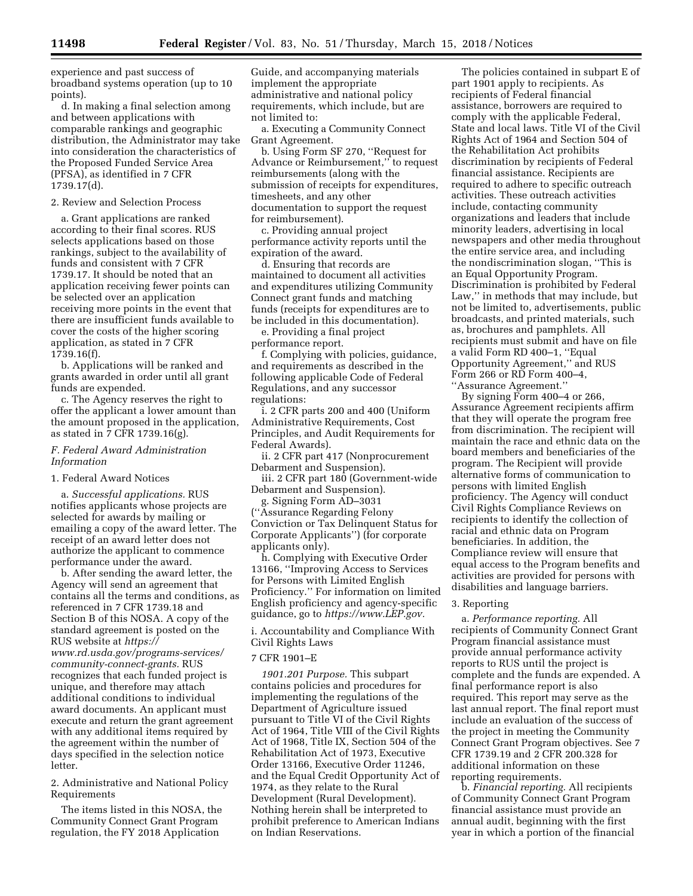experience and past success of broadband systems operation (up to 10 points).

d. In making a final selection among and between applications with comparable rankings and geographic distribution, the Administrator may take into consideration the characteristics of the Proposed Funded Service Area (PFSA), as identified in 7 CFR 1739.17(d).

#### 2. Review and Selection Process

a. Grant applications are ranked according to their final scores. RUS selects applications based on those rankings, subject to the availability of funds and consistent with 7 CFR 1739.17. It should be noted that an application receiving fewer points can be selected over an application receiving more points in the event that there are insufficient funds available to cover the costs of the higher scoring application, as stated in 7 CFR 1739.16(f).

b. Applications will be ranked and grants awarded in order until all grant funds are expended.

c. The Agency reserves the right to offer the applicant a lower amount than the amount proposed in the application, as stated in 7 CFR 1739.16(g).

## *F. Federal Award Administration Information*

1. Federal Award Notices

a. *Successful applications.* RUS notifies applicants whose projects are selected for awards by mailing or emailing a copy of the award letter. The receipt of an award letter does not authorize the applicant to commence performance under the award.

b. After sending the award letter, the Agency will send an agreement that contains all the terms and conditions, as referenced in 7 CFR 1739.18 and Section B of this NOSA. A copy of the standard agreement is posted on the RUS website at *[https://](https://www.rd.usda.gov/programs-services/community-connect-grants) [www.rd.usda.gov/programs-services/](https://www.rd.usda.gov/programs-services/community-connect-grants)  [community-connect-grants.](https://www.rd.usda.gov/programs-services/community-connect-grants)* RUS recognizes that each funded project is unique, and therefore may attach additional conditions to individual award documents. An applicant must execute and return the grant agreement with any additional items required by the agreement within the number of days specified in the selection notice letter.

2. Administrative and National Policy Requirements

The items listed in this NOSA, the Community Connect Grant Program regulation, the FY 2018 Application

Guide, and accompanying materials implement the appropriate administrative and national policy requirements, which include, but are not limited to:

a. Executing a Community Connect Grant Agreement.

b. Using Form SF 270, ''Request for Advance or Reimbursement,'' to request reimbursements (along with the submission of receipts for expenditures, timesheets, and any other documentation to support the request for reimbursement).

c. Providing annual project performance activity reports until the expiration of the award.

d. Ensuring that records are maintained to document all activities and expenditures utilizing Community Connect grant funds and matching funds (receipts for expenditures are to be included in this documentation).

e. Providing a final project performance report.

f. Complying with policies, guidance, and requirements as described in the following applicable Code of Federal Regulations, and any successor regulations:

i. 2 CFR parts 200 and 400 (Uniform Administrative Requirements, Cost Principles, and Audit Requirements for Federal Awards).

ii. 2 CFR part 417 (Nonprocurement Debarment and Suspension).

iii. 2 CFR part 180 (Government-wide Debarment and Suspension).

g. Signing Form AD–3031 (''Assurance Regarding Felony Conviction or Tax Delinquent Status for Corporate Applicants'') (for corporate applicants only).

h. Complying with Executive Order 13166, ''Improving Access to Services for Persons with Limited English Proficiency.'' For information on limited English proficiency and agency-specific guidance, go to *[https://www.LEP.gov.](https://www.LEP.gov)* 

i. Accountability and Compliance With Civil Rights Laws

#### 7 CFR 1901–E

*1901.201 Purpose.* This subpart contains policies and procedures for implementing the regulations of the Department of Agriculture issued pursuant to Title VI of the Civil Rights Act of 1964, Title VIII of the Civil Rights Act of 1968, Title IX, Section 504 of the Rehabilitation Act of 1973, Executive Order 13166, Executive Order 11246, and the Equal Credit Opportunity Act of 1974, as they relate to the Rural Development (Rural Development). Nothing herein shall be interpreted to prohibit preference to American Indians on Indian Reservations.

The policies contained in subpart E of part 1901 apply to recipients. As recipients of Federal financial assistance, borrowers are required to comply with the applicable Federal, State and local laws. Title VI of the Civil Rights Act of 1964 and Section 504 of the Rehabilitation Act prohibits discrimination by recipients of Federal financial assistance. Recipients are required to adhere to specific outreach activities. These outreach activities include, contacting community organizations and leaders that include minority leaders, advertising in local newspapers and other media throughout the entire service area, and including the nondiscrimination slogan, ''This is an Equal Opportunity Program. Discrimination is prohibited by Federal Law," in methods that may include, but not be limited to, advertisements, public broadcasts, and printed materials, such as, brochures and pamphlets. All recipients must submit and have on file a valid Form RD 400–1, ''Equal Opportunity Agreement,'' and RUS Form 266 or RD Form 400–4, ''Assurance Agreement.''

By signing Form 400–4 or 266, Assurance Agreement recipients affirm that they will operate the program free from discrimination. The recipient will maintain the race and ethnic data on the board members and beneficiaries of the program. The Recipient will provide alternative forms of communication to persons with limited English proficiency. The Agency will conduct Civil Rights Compliance Reviews on recipients to identify the collection of racial and ethnic data on Program beneficiaries. In addition, the Compliance review will ensure that equal access to the Program benefits and activities are provided for persons with disabilities and language barriers.

#### 3. Reporting

a. *Performance reporting.* All recipients of Community Connect Grant Program financial assistance must provide annual performance activity reports to RUS until the project is complete and the funds are expended. A final performance report is also required. This report may serve as the last annual report. The final report must include an evaluation of the success of the project in meeting the Community Connect Grant Program objectives. See 7 CFR 1739.19 and 2 CFR 200.328 for additional information on these reporting requirements.

b. *Financial reporting.* All recipients of Community Connect Grant Program financial assistance must provide an annual audit, beginning with the first year in which a portion of the financial